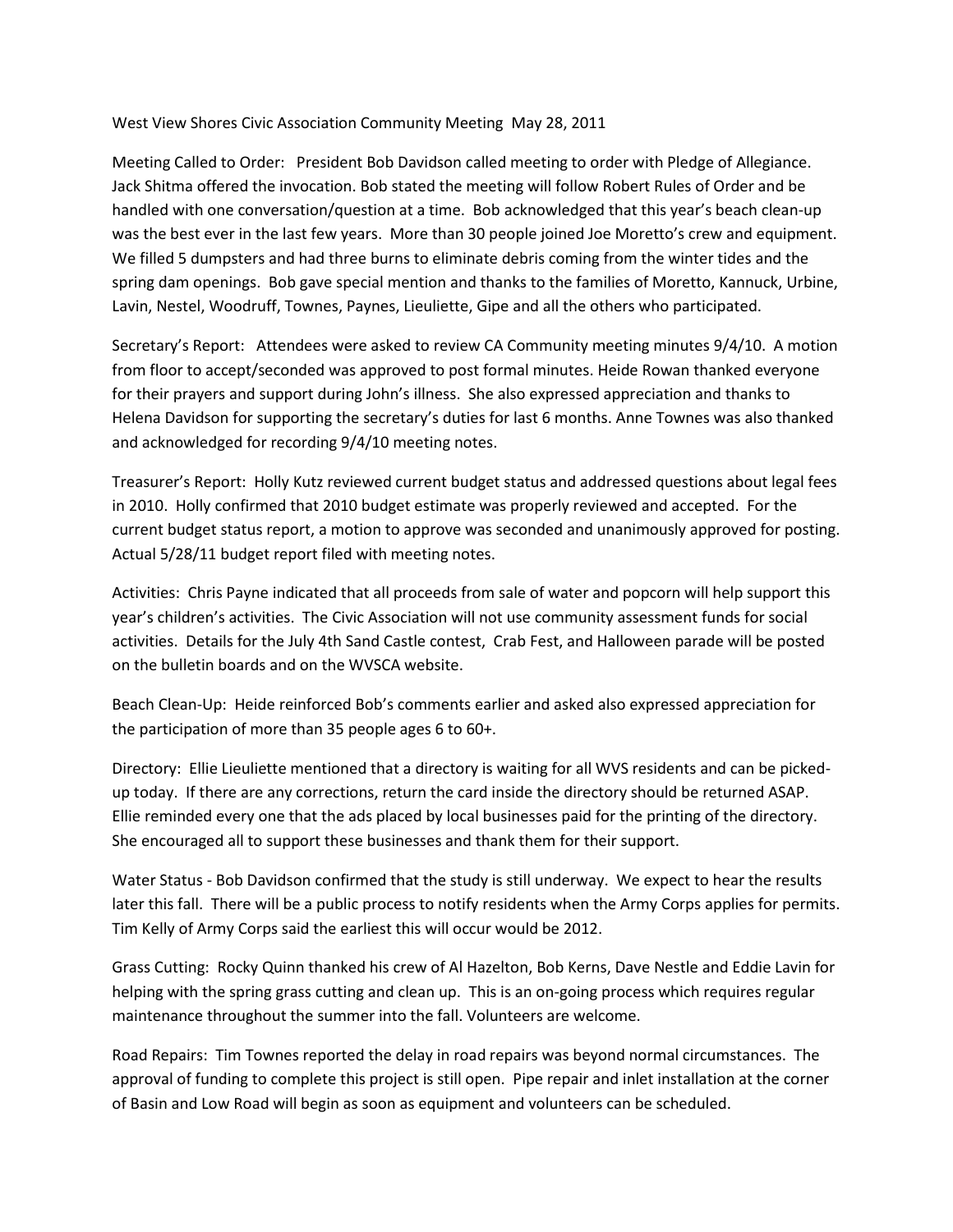West View Shores Civic Association Community Meeting May 28, 2011

Meeting Called to Order: President Bob Davidson called meeting to order with Pledge of Allegiance. Jack Shitma offered the invocation. Bob stated the meeting will follow Robert Rules of Order and be handled with one conversation/question at a time. Bob acknowledged that this year's beach clean-up was the best ever in the last few years. More than 30 people joined Joe Moretto's crew and equipment. We filled 5 dumpsters and had three burns to eliminate debris coming from the winter tides and the spring dam openings. Bob gave special mention and thanks to the families of Moretto, Kannuck, Urbine, Lavin, Nestel, Woodruff, Townes, Paynes, Lieuliette, Gipe and all the others who participated.

Secretary's Report: Attendees were asked to review CA Community meeting minutes 9/4/10. A motion from floor to accept/seconded was approved to post formal minutes. Heide Rowan thanked everyone for their prayers and support during John's illness. She also expressed appreciation and thanks to Helena Davidson for supporting the secretary's duties for last 6 months. Anne Townes was also thanked and acknowledged for recording 9/4/10 meeting notes.

Treasurer's Report: Holly Kutz reviewed current budget status and addressed questions about legal fees in 2010. Holly confirmed that 2010 budget estimate was properly reviewed and accepted. For the current budget status report, a motion to approve was seconded and unanimously approved for posting. Actual 5/28/11 budget report filed with meeting notes.

Activities: Chris Payne indicated that all proceeds from sale of water and popcorn will help support this year's children's activities. The Civic Association will not use community assessment funds for social activities. Details for the July 4th Sand Castle contest, Crab Fest, and Halloween parade will be posted on the bulletin boards and on the WVSCA website.

Beach Clean-Up: Heide reinforced Bob's comments earlier and asked also expressed appreciation for the participation of more than 35 people ages 6 to 60+.

Directory: Ellie Lieuliette mentioned that a directory is waiting for all WVS residents and can be pickedup today. If there are any corrections, return the card inside the directory should be returned ASAP. Ellie reminded every one that the ads placed by local businesses paid for the printing of the directory. She encouraged all to support these businesses and thank them for their support.

Water Status - Bob Davidson confirmed that the study is still underway. We expect to hear the results later this fall. There will be a public process to notify residents when the Army Corps applies for permits. Tim Kelly of Army Corps said the earliest this will occur would be 2012.

Grass Cutting: Rocky Quinn thanked his crew of Al Hazelton, Bob Kerns, Dave Nestle and Eddie Lavin for helping with the spring grass cutting and clean up. This is an on-going process which requires regular maintenance throughout the summer into the fall. Volunteers are welcome.

Road Repairs: Tim Townes reported the delay in road repairs was beyond normal circumstances. The approval of funding to complete this project is still open. Pipe repair and inlet installation at the corner of Basin and Low Road will begin as soon as equipment and volunteers can be scheduled.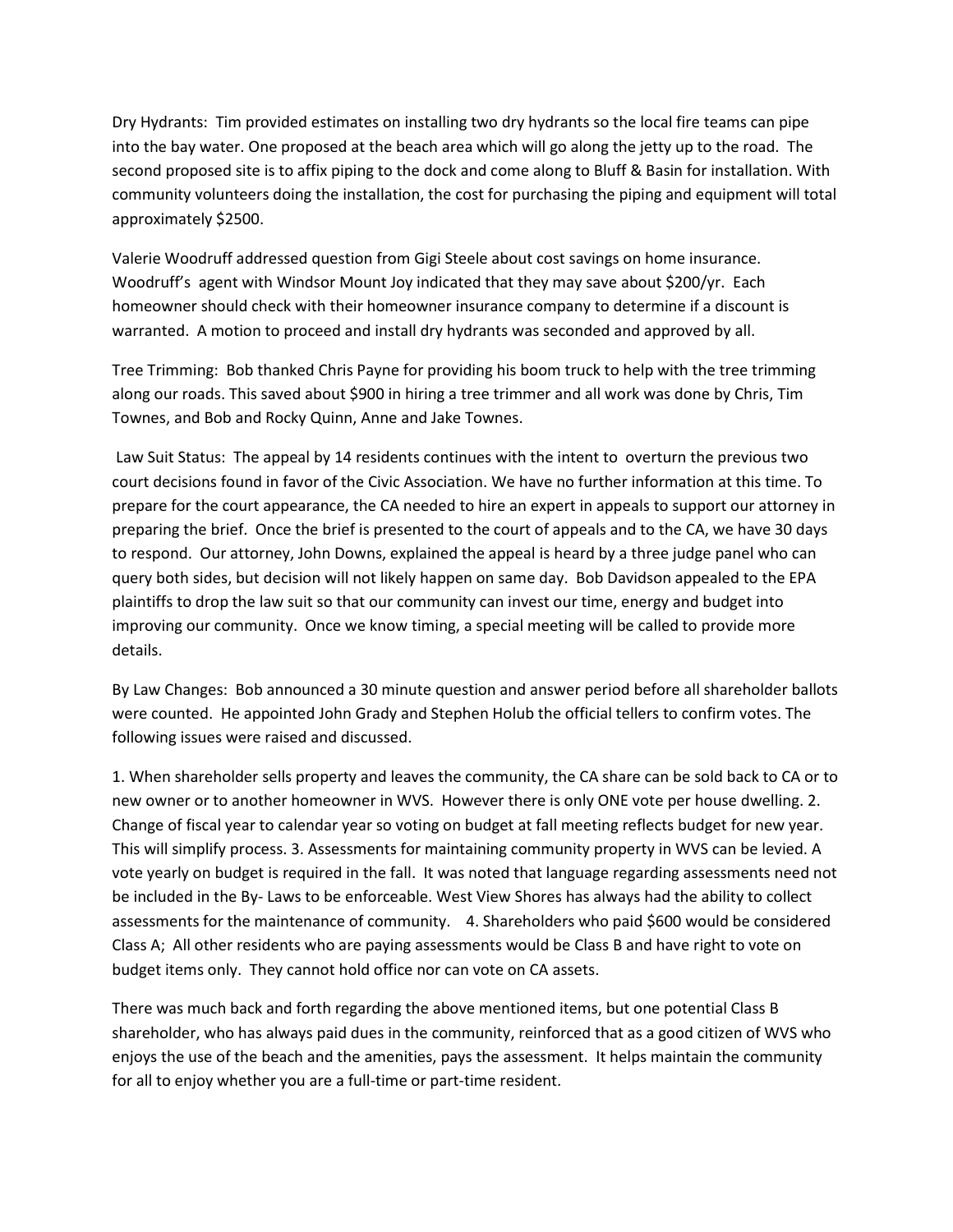Dry Hydrants: Tim provided estimates on installing two dry hydrants so the local fire teams can pipe into the bay water. One proposed at the beach area which will go along the jetty up to the road. The second proposed site is to affix piping to the dock and come along to Bluff & Basin for installation. With community volunteers doing the installation, the cost for purchasing the piping and equipment will total approximately \$2500.

Valerie Woodruff addressed question from Gigi Steele about cost savings on home insurance. Woodruff's agent with Windsor Mount Joy indicated that they may save about \$200/yr. Each homeowner should check with their homeowner insurance company to determine if a discount is warranted. A motion to proceed and install dry hydrants was seconded and approved by all.

Tree Trimming: Bob thanked Chris Payne for providing his boom truck to help with the tree trimming along our roads. This saved about \$900 in hiring a tree trimmer and all work was done by Chris, Tim Townes, and Bob and Rocky Quinn, Anne and Jake Townes.

Law Suit Status: The appeal by 14 residents continues with the intent to overturn the previous two court decisions found in favor of the Civic Association. We have no further information at this time. To prepare for the court appearance, the CA needed to hire an expert in appeals to support our attorney in preparing the brief. Once the brief is presented to the court of appeals and to the CA, we have 30 days to respond. Our attorney, John Downs, explained the appeal is heard by a three judge panel who can query both sides, but decision will not likely happen on same day. Bob Davidson appealed to the EPA plaintiffs to drop the law suit so that our community can invest our time, energy and budget into improving our community. Once we know timing, a special meeting will be called to provide more details.

By Law Changes: Bob announced a 30 minute question and answer period before all shareholder ballots were counted. He appointed John Grady and Stephen Holub the official tellers to confirm votes. The following issues were raised and discussed.

1. When shareholder sells property and leaves the community, the CA share can be sold back to CA or to new owner or to another homeowner in WVS. However there is only ONE vote per house dwelling. 2. Change of fiscal year to calendar year so voting on budget at fall meeting reflects budget for new year. This will simplify process. 3. Assessments for maintaining community property in WVS can be levied. A vote yearly on budget is required in the fall. It was noted that language regarding assessments need not be included in the By- Laws to be enforceable. West View Shores has always had the ability to collect assessments for the maintenance of community. 4. Shareholders who paid \$600 would be considered Class A; All other residents who are paying assessments would be Class B and have right to vote on budget items only. They cannot hold office nor can vote on CA assets.

There was much back and forth regarding the above mentioned items, but one potential Class B shareholder, who has always paid dues in the community, reinforced that as a good citizen of WVS who enjoys the use of the beach and the amenities, pays the assessment. It helps maintain the community for all to enjoy whether you are a full-time or part-time resident.